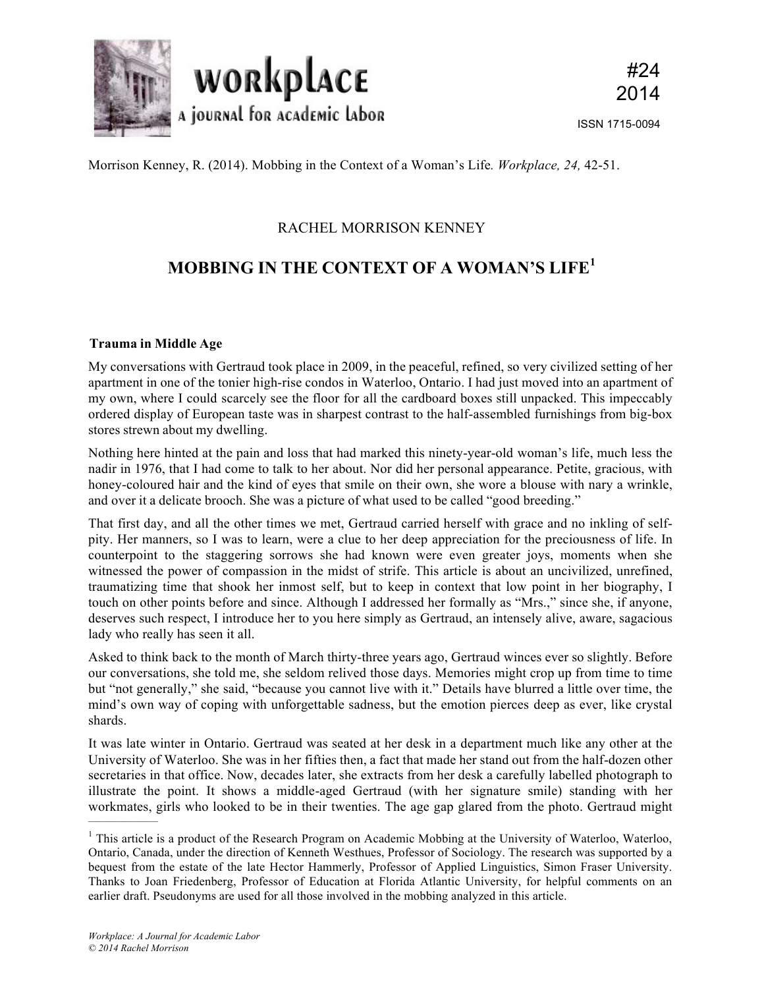

Morrison Kenney, R. (2014). Mobbing in the Context of a Woman's Life*. Workplace, 24,* 42-51.

## RACHEL MORRISON KENNEY

# **MOBBING IN THE CONTEXT OF A WOMAN'S LIFE<sup>1</sup>**

## **Trauma in Middle Age**

My conversations with Gertraud took place in 2009, in the peaceful, refined, so very civilized setting of her apartment in one of the tonier high-rise condos in Waterloo, Ontario. I had just moved into an apartment of my own, where I could scarcely see the floor for all the cardboard boxes still unpacked. This impeccably ordered display of European taste was in sharpest contrast to the half-assembled furnishings from big-box stores strewn about my dwelling.

Nothing here hinted at the pain and loss that had marked this ninety-year-old woman's life, much less the nadir in 1976, that I had come to talk to her about. Nor did her personal appearance. Petite, gracious, with honey-coloured hair and the kind of eyes that smile on their own, she wore a blouse with nary a wrinkle, and over it a delicate brooch. She was a picture of what used to be called "good breeding."

That first day, and all the other times we met, Gertraud carried herself with grace and no inkling of selfpity. Her manners, so I was to learn, were a clue to her deep appreciation for the preciousness of life. In counterpoint to the staggering sorrows she had known were even greater joys, moments when she witnessed the power of compassion in the midst of strife. This article is about an uncivilized, unrefined, traumatizing time that shook her inmost self, but to keep in context that low point in her biography, I touch on other points before and since. Although I addressed her formally as "Mrs.," since she, if anyone, deserves such respect, I introduce her to you here simply as Gertraud, an intensely alive, aware, sagacious lady who really has seen it all.

Asked to think back to the month of March thirty-three years ago, Gertraud winces ever so slightly. Before our conversations, she told me, she seldom relived those days. Memories might crop up from time to time but "not generally," she said, "because you cannot live with it." Details have blurred a little over time, the mind's own way of coping with unforgettable sadness, but the emotion pierces deep as ever, like crystal shards.

It was late winter in Ontario. Gertraud was seated at her desk in a department much like any other at the University of Waterloo. She was in her fifties then, a fact that made her stand out from the half-dozen other secretaries in that office. Now, decades later, she extracts from her desk a carefully labelled photograph to illustrate the point. It shows a middle-aged Gertraud (with her signature smile) standing with her workmates, girls who looked to be in their twenties. The age gap glared from the photo. Gertraud might

––––––––––––––

<sup>&</sup>lt;sup>1</sup> This article is a product of the Research Program on Academic Mobbing at the University of Waterloo, Waterloo, Ontario, Canada, under the direction of Kenneth Westhues, Professor of Sociology. The research was supported by a bequest from the estate of the late Hector Hammerly, Professor of Applied Linguistics, Simon Fraser University. Thanks to Joan Friedenberg, Professor of Education at Florida Atlantic University, for helpful comments on an earlier draft. Pseudonyms are used for all those involved in the mobbing analyzed in this article.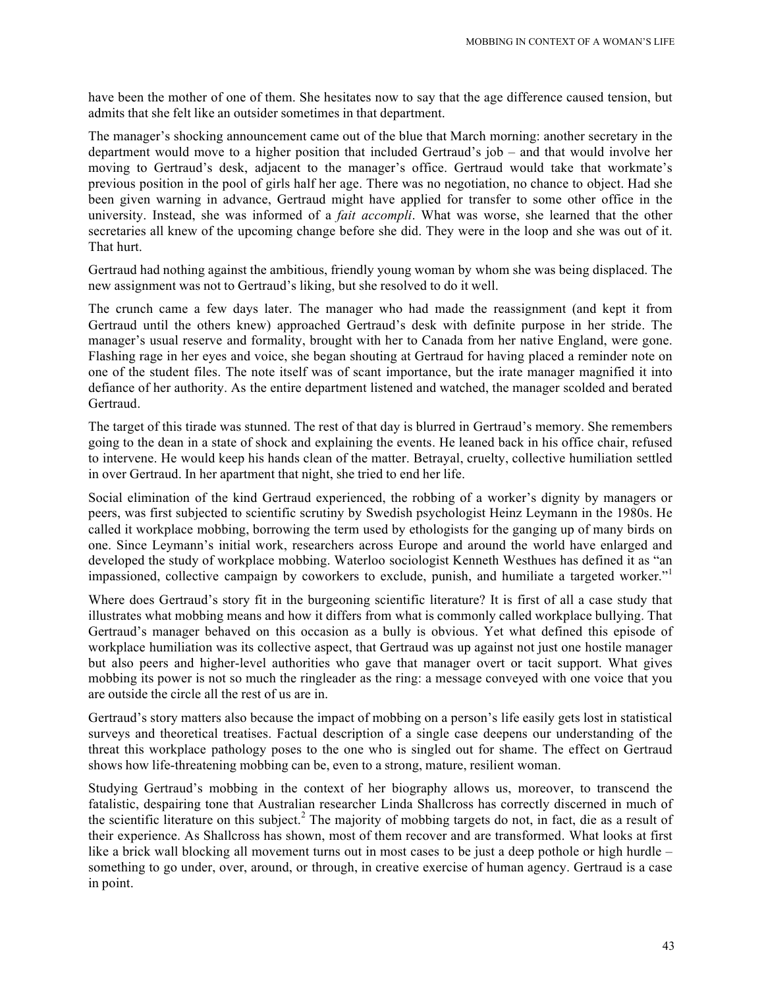have been the mother of one of them. She hesitates now to say that the age difference caused tension, but admits that she felt like an outsider sometimes in that department.

The manager's shocking announcement came out of the blue that March morning: another secretary in the department would move to a higher position that included Gertraud's job – and that would involve her moving to Gertraud's desk, adjacent to the manager's office. Gertraud would take that workmate's previous position in the pool of girls half her age. There was no negotiation, no chance to object. Had she been given warning in advance, Gertraud might have applied for transfer to some other office in the university. Instead, she was informed of a *fait accompli*. What was worse, she learned that the other secretaries all knew of the upcoming change before she did. They were in the loop and she was out of it. That hurt.

Gertraud had nothing against the ambitious, friendly young woman by whom she was being displaced. The new assignment was not to Gertraud's liking, but she resolved to do it well.

The crunch came a few days later. The manager who had made the reassignment (and kept it from Gertraud until the others knew) approached Gertraud's desk with definite purpose in her stride. The manager's usual reserve and formality, brought with her to Canada from her native England, were gone. Flashing rage in her eyes and voice, she began shouting at Gertraud for having placed a reminder note on one of the student files. The note itself was of scant importance, but the irate manager magnified it into defiance of her authority. As the entire department listened and watched, the manager scolded and berated Gertraud.

The target of this tirade was stunned. The rest of that day is blurred in Gertraud's memory. She remembers going to the dean in a state of shock and explaining the events. He leaned back in his office chair, refused to intervene. He would keep his hands clean of the matter. Betrayal, cruelty, collective humiliation settled in over Gertraud. In her apartment that night, she tried to end her life.

Social elimination of the kind Gertraud experienced, the robbing of a worker's dignity by managers or peers, was first subjected to scientific scrutiny by Swedish psychologist Heinz Leymann in the 1980s. He called it workplace mobbing, borrowing the term used by ethologists for the ganging up of many birds on one. Since Leymann's initial work, researchers across Europe and around the world have enlarged and developed the study of workplace mobbing. Waterloo sociologist Kenneth Westhues has defined it as "an impassioned, collective campaign by coworkers to exclude, punish, and humiliate a targeted worker.<sup>"1</sup>

Where does Gertraud's story fit in the burgeoning scientific literature? It is first of all a case study that illustrates what mobbing means and how it differs from what is commonly called workplace bullying. That Gertraud's manager behaved on this occasion as a bully is obvious. Yet what defined this episode of workplace humiliation was its collective aspect, that Gertraud was up against not just one hostile manager but also peers and higher-level authorities who gave that manager overt or tacit support. What gives mobbing its power is not so much the ringleader as the ring: a message conveyed with one voice that you are outside the circle all the rest of us are in.

Gertraud's story matters also because the impact of mobbing on a person's life easily gets lost in statistical surveys and theoretical treatises. Factual description of a single case deepens our understanding of the threat this workplace pathology poses to the one who is singled out for shame. The effect on Gertraud shows how life-threatening mobbing can be, even to a strong, mature, resilient woman.

Studying Gertraud's mobbing in the context of her biography allows us, moreover, to transcend the fatalistic, despairing tone that Australian researcher Linda Shallcross has correctly discerned in much of the scientific literature on this subject.<sup>2</sup> The majority of mobbing targets do not, in fact, die as a result of their experience. As Shallcross has shown, most of them recover and are transformed. What looks at first like a brick wall blocking all movement turns out in most cases to be just a deep pothole or high hurdle – something to go under, over, around, or through, in creative exercise of human agency. Gertraud is a case in point.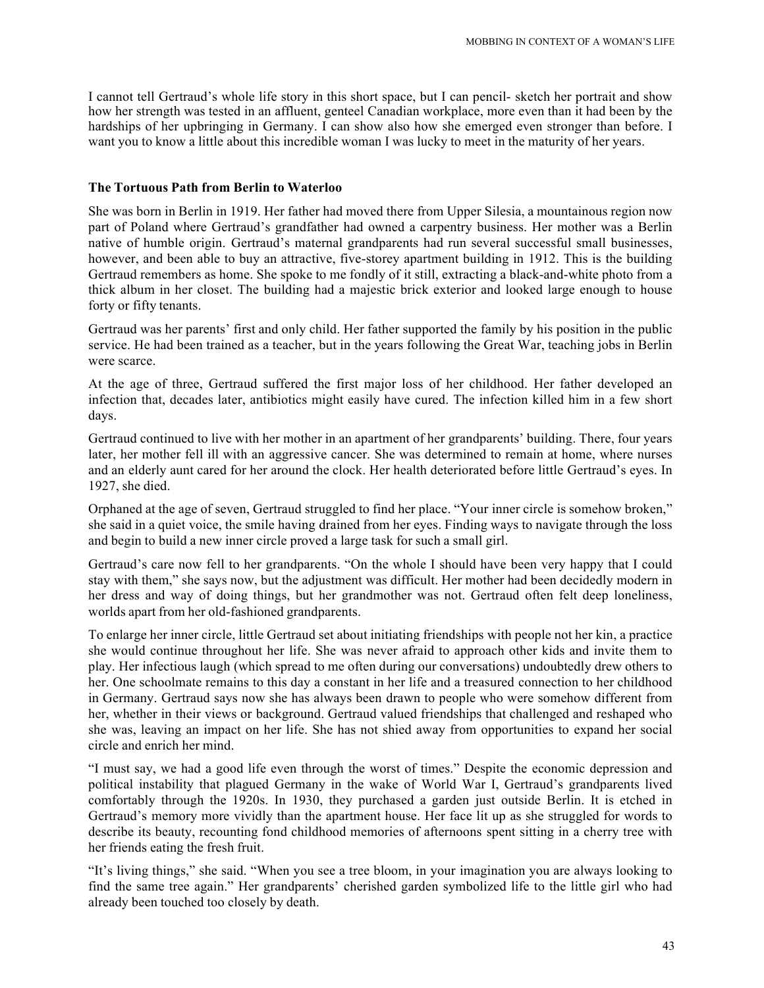I cannot tell Gertraud's whole life story in this short space, but I can pencil- sketch her portrait and show how her strength was tested in an affluent, genteel Canadian workplace, more even than it had been by the hardships of her upbringing in Germany. I can show also how she emerged even stronger than before. I want you to know a little about this incredible woman I was lucky to meet in the maturity of her years.

#### **The Tortuous Path from Berlin to Waterloo**

She was born in Berlin in 1919. Her father had moved there from Upper Silesia, a mountainous region now part of Poland where Gertraud's grandfather had owned a carpentry business. Her mother was a Berlin native of humble origin. Gertraud's maternal grandparents had run several successful small businesses, however, and been able to buy an attractive, five-storey apartment building in 1912. This is the building Gertraud remembers as home. She spoke to me fondly of it still, extracting a black-and-white photo from a thick album in her closet. The building had a majestic brick exterior and looked large enough to house forty or fifty tenants.

Gertraud was her parents' first and only child. Her father supported the family by his position in the public service. He had been trained as a teacher, but in the years following the Great War, teaching jobs in Berlin were scarce.

At the age of three, Gertraud suffered the first major loss of her childhood. Her father developed an infection that, decades later, antibiotics might easily have cured. The infection killed him in a few short days.

Gertraud continued to live with her mother in an apartment of her grandparents' building. There, four years later, her mother fell ill with an aggressive cancer. She was determined to remain at home, where nurses and an elderly aunt cared for her around the clock. Her health deteriorated before little Gertraud's eyes. In 1927, she died.

Orphaned at the age of seven, Gertraud struggled to find her place. "Your inner circle is somehow broken," she said in a quiet voice, the smile having drained from her eyes. Finding ways to navigate through the loss and begin to build a new inner circle proved a large task for such a small girl.

Gertraud's care now fell to her grandparents. "On the whole I should have been very happy that I could stay with them," she says now, but the adjustment was difficult. Her mother had been decidedly modern in her dress and way of doing things, but her grandmother was not. Gertraud often felt deep loneliness, worlds apart from her old-fashioned grandparents.

To enlarge her inner circle, little Gertraud set about initiating friendships with people not her kin, a practice she would continue throughout her life. She was never afraid to approach other kids and invite them to play. Her infectious laugh (which spread to me often during our conversations) undoubtedly drew others to her. One schoolmate remains to this day a constant in her life and a treasured connection to her childhood in Germany. Gertraud says now she has always been drawn to people who were somehow different from her, whether in their views or background. Gertraud valued friendships that challenged and reshaped who she was, leaving an impact on her life. She has not shied away from opportunities to expand her social circle and enrich her mind.

"I must say, we had a good life even through the worst of times." Despite the economic depression and political instability that plagued Germany in the wake of World War I, Gertraud's grandparents lived comfortably through the 1920s. In 1930, they purchased a garden just outside Berlin. It is etched in Gertraud's memory more vividly than the apartment house. Her face lit up as she struggled for words to describe its beauty, recounting fond childhood memories of afternoons spent sitting in a cherry tree with her friends eating the fresh fruit.

"It's living things," she said. "When you see a tree bloom, in your imagination you are always looking to find the same tree again." Her grandparents' cherished garden symbolized life to the little girl who had already been touched too closely by death.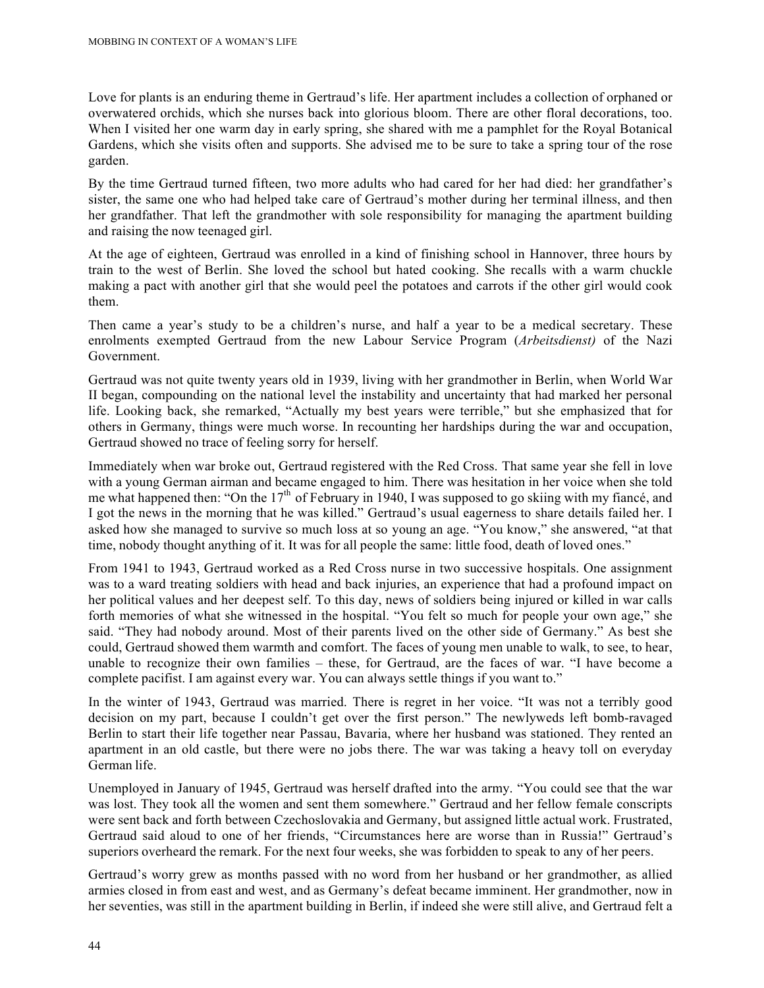Love for plants is an enduring theme in Gertraud's life. Her apartment includes a collection of orphaned or overwatered orchids, which she nurses back into glorious bloom. There are other floral decorations, too. When I visited her one warm day in early spring, she shared with me a pamphlet for the Royal Botanical Gardens, which she visits often and supports. She advised me to be sure to take a spring tour of the rose garden.

By the time Gertraud turned fifteen, two more adults who had cared for her had died: her grandfather's sister, the same one who had helped take care of Gertraud's mother during her terminal illness, and then her grandfather. That left the grandmother with sole responsibility for managing the apartment building and raising the now teenaged girl.

At the age of eighteen, Gertraud was enrolled in a kind of finishing school in Hannover, three hours by train to the west of Berlin. She loved the school but hated cooking. She recalls with a warm chuckle making a pact with another girl that she would peel the potatoes and carrots if the other girl would cook them.

Then came a year's study to be a children's nurse, and half a year to be a medical secretary. These enrolments exempted Gertraud from the new Labour Service Program (*Arbeitsdienst)* of the Nazi Government.

Gertraud was not quite twenty years old in 1939, living with her grandmother in Berlin, when World War II began, compounding on the national level the instability and uncertainty that had marked her personal life. Looking back, she remarked, "Actually my best years were terrible," but she emphasized that for others in Germany, things were much worse. In recounting her hardships during the war and occupation, Gertraud showed no trace of feeling sorry for herself.

Immediately when war broke out, Gertraud registered with the Red Cross. That same year she fell in love with a young German airman and became engaged to him. There was hesitation in her voice when she told me what happened then: "On the 17<sup>th</sup> of February in 1940, I was supposed to go skiing with my fiancé, and I got the news in the morning that he was killed." Gertraud's usual eagerness to share details failed her. I asked how she managed to survive so much loss at so young an age. "You know," she answered, "at that time, nobody thought anything of it. It was for all people the same: little food, death of loved ones."

From 1941 to 1943, Gertraud worked as a Red Cross nurse in two successive hospitals. One assignment was to a ward treating soldiers with head and back injuries, an experience that had a profound impact on her political values and her deepest self. To this day, news of soldiers being injured or killed in war calls forth memories of what she witnessed in the hospital. "You felt so much for people your own age," she said. "They had nobody around. Most of their parents lived on the other side of Germany." As best she could, Gertraud showed them warmth and comfort. The faces of young men unable to walk, to see, to hear, unable to recognize their own families – these, for Gertraud, are the faces of war. "I have become a complete pacifist. I am against every war. You can always settle things if you want to."

In the winter of 1943, Gertraud was married. There is regret in her voice. "It was not a terribly good decision on my part, because I couldn't get over the first person." The newlyweds left bomb-ravaged Berlin to start their life together near Passau, Bavaria, where her husband was stationed. They rented an apartment in an old castle, but there were no jobs there. The war was taking a heavy toll on everyday German life.

Unemployed in January of 1945, Gertraud was herself drafted into the army. "You could see that the war was lost. They took all the women and sent them somewhere." Gertraud and her fellow female conscripts were sent back and forth between Czechoslovakia and Germany, but assigned little actual work. Frustrated, Gertraud said aloud to one of her friends, "Circumstances here are worse than in Russia!" Gertraud's superiors overheard the remark. For the next four weeks, she was forbidden to speak to any of her peers.

Gertraud's worry grew as months passed with no word from her husband or her grandmother, as allied armies closed in from east and west, and as Germany's defeat became imminent. Her grandmother, now in her seventies, was still in the apartment building in Berlin, if indeed she were still alive, and Gertraud felt a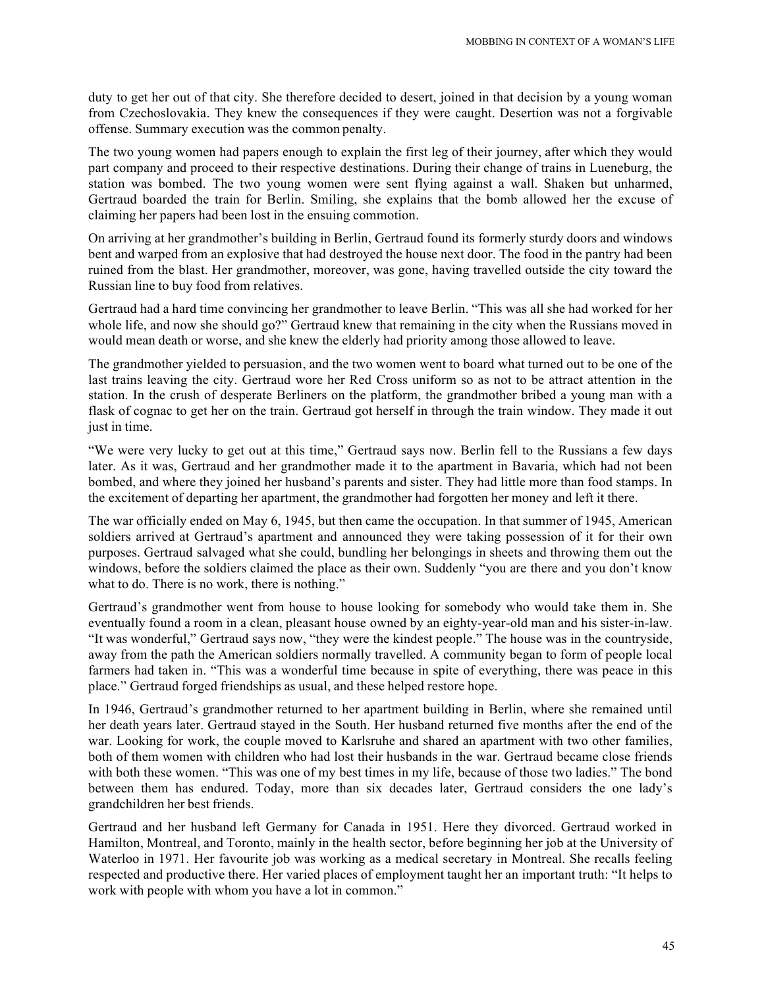duty to get her out of that city. She therefore decided to desert, joined in that decision by a young woman from Czechoslovakia. They knew the consequences if they were caught. Desertion was not a forgivable offense. Summary execution was the common penalty.

The two young women had papers enough to explain the first leg of their journey, after which they would part company and proceed to their respective destinations. During their change of trains in Lueneburg, the station was bombed. The two young women were sent flying against a wall. Shaken but unharmed, Gertraud boarded the train for Berlin. Smiling, she explains that the bomb allowed her the excuse of claiming her papers had been lost in the ensuing commotion.

On arriving at her grandmother's building in Berlin, Gertraud found its formerly sturdy doors and windows bent and warped from an explosive that had destroyed the house next door. The food in the pantry had been ruined from the blast. Her grandmother, moreover, was gone, having travelled outside the city toward the Russian line to buy food from relatives.

Gertraud had a hard time convincing her grandmother to leave Berlin. "This was all she had worked for her whole life, and now she should go?" Gertraud knew that remaining in the city when the Russians moved in would mean death or worse, and she knew the elderly had priority among those allowed to leave.

The grandmother yielded to persuasion, and the two women went to board what turned out to be one of the last trains leaving the city. Gertraud wore her Red Cross uniform so as not to be attract attention in the station. In the crush of desperate Berliners on the platform, the grandmother bribed a young man with a flask of cognac to get her on the train. Gertraud got herself in through the train window. They made it out just in time.

"We were very lucky to get out at this time," Gertraud says now. Berlin fell to the Russians a few days later. As it was, Gertraud and her grandmother made it to the apartment in Bavaria, which had not been bombed, and where they joined her husband's parents and sister. They had little more than food stamps. In the excitement of departing her apartment, the grandmother had forgotten her money and left it there.

The war officially ended on May 6, 1945, but then came the occupation. In that summer of 1945, American soldiers arrived at Gertraud's apartment and announced they were taking possession of it for their own purposes. Gertraud salvaged what she could, bundling her belongings in sheets and throwing them out the windows, before the soldiers claimed the place as their own. Suddenly "you are there and you don't know what to do. There is no work, there is nothing."

Gertraud's grandmother went from house to house looking for somebody who would take them in. She eventually found a room in a clean, pleasant house owned by an eighty-year-old man and his sister-in-law. "It was wonderful," Gertraud says now, "they were the kindest people." The house was in the countryside, away from the path the American soldiers normally travelled. A community began to form of people local farmers had taken in. "This was a wonderful time because in spite of everything, there was peace in this place." Gertraud forged friendships as usual, and these helped restore hope.

In 1946, Gertraud's grandmother returned to her apartment building in Berlin, where she remained until her death years later. Gertraud stayed in the South. Her husband returned five months after the end of the war. Looking for work, the couple moved to Karlsruhe and shared an apartment with two other families, both of them women with children who had lost their husbands in the war. Gertraud became close friends with both these women. "This was one of my best times in my life, because of those two ladies." The bond between them has endured. Today, more than six decades later, Gertraud considers the one lady's grandchildren her best friends.

Gertraud and her husband left Germany for Canada in 1951. Here they divorced. Gertraud worked in Hamilton, Montreal, and Toronto, mainly in the health sector, before beginning her job at the University of Waterloo in 1971. Her favourite job was working as a medical secretary in Montreal. She recalls feeling respected and productive there. Her varied places of employment taught her an important truth: "It helps to work with people with whom you have a lot in common."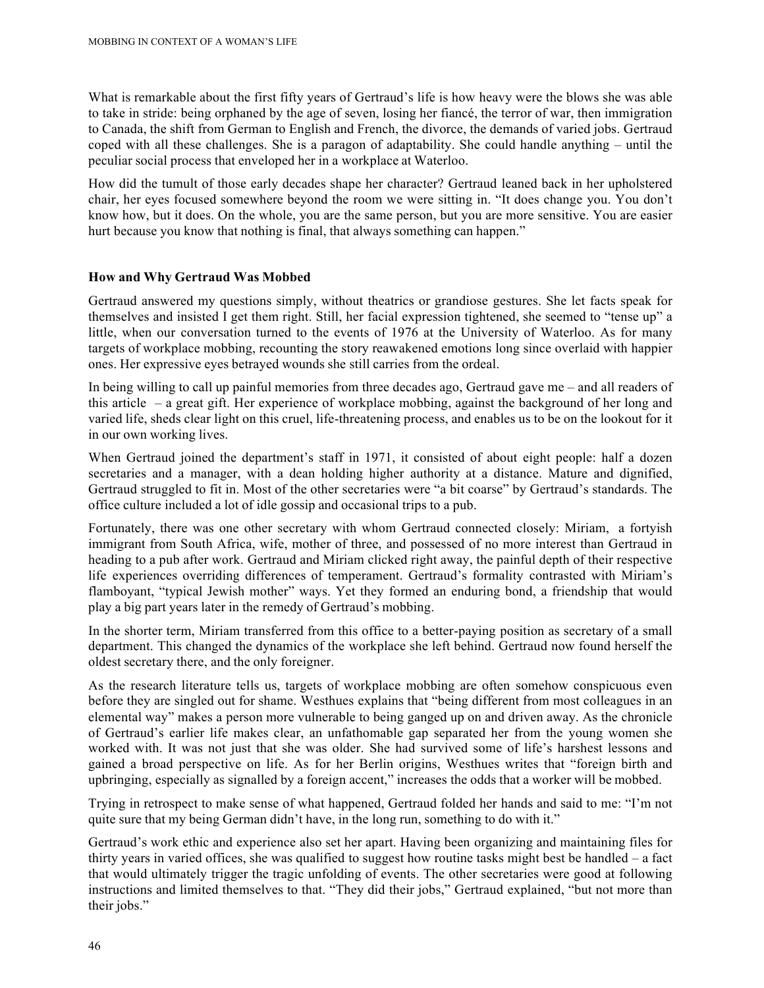What is remarkable about the first fifty years of Gertraud's life is how heavy were the blows she was able to take in stride: being orphaned by the age of seven, losing her fiancé, the terror of war, then immigration to Canada, the shift from German to English and French, the divorce, the demands of varied jobs. Gertraud coped with all these challenges. She is a paragon of adaptability. She could handle anything – until the peculiar social process that enveloped her in a workplace at Waterloo.

How did the tumult of those early decades shape her character? Gertraud leaned back in her upholstered chair, her eyes focused somewhere beyond the room we were sitting in. "It does change you. You don't know how, but it does. On the whole, you are the same person, but you are more sensitive. You are easier hurt because you know that nothing is final, that always something can happen."

## **How and Why Gertraud Was Mobbed**

Gertraud answered my questions simply, without theatrics or grandiose gestures. She let facts speak for themselves and insisted I get them right. Still, her facial expression tightened, she seemed to "tense up" a little, when our conversation turned to the events of 1976 at the University of Waterloo. As for many targets of workplace mobbing, recounting the story reawakened emotions long since overlaid with happier ones. Her expressive eyes betrayed wounds she still carries from the ordeal.

In being willing to call up painful memories from three decades ago, Gertraud gave me – and all readers of this article – a great gift. Her experience of workplace mobbing, against the background of her long and varied life, sheds clear light on this cruel, life-threatening process, and enables us to be on the lookout for it in our own working lives.

When Gertraud joined the department's staff in 1971, it consisted of about eight people: half a dozen secretaries and a manager, with a dean holding higher authority at a distance. Mature and dignified, Gertraud struggled to fit in. Most of the other secretaries were "a bit coarse" by Gertraud's standards. The office culture included a lot of idle gossip and occasional trips to a pub.

Fortunately, there was one other secretary with whom Gertraud connected closely: Miriam, a fortyish immigrant from South Africa, wife, mother of three, and possessed of no more interest than Gertraud in heading to a pub after work. Gertraud and Miriam clicked right away, the painful depth of their respective life experiences overriding differences of temperament. Gertraud's formality contrasted with Miriam's flamboyant, "typical Jewish mother" ways. Yet they formed an enduring bond, a friendship that would play a big part years later in the remedy of Gertraud's mobbing.

In the shorter term, Miriam transferred from this office to a better-paying position as secretary of a small department. This changed the dynamics of the workplace she left behind. Gertraud now found herself the oldest secretary there, and the only foreigner.

As the research literature tells us, targets of workplace mobbing are often somehow conspicuous even before they are singled out for shame. Westhues explains that "being different from most colleagues in an elemental way" makes a person more vulnerable to being ganged up on and driven away. As the chronicle of Gertraud's earlier life makes clear, an unfathomable gap separated her from the young women she worked with. It was not just that she was older. She had survived some of life's harshest lessons and gained a broad perspective on life. As for her Berlin origins, Westhues writes that "foreign birth and upbringing, especially as signalled by a foreign accent," increases the odds that a worker will be mobbed.

Trying in retrospect to make sense of what happened, Gertraud folded her hands and said to me: "I'm not quite sure that my being German didn't have, in the long run, something to do with it."

Gertraud's work ethic and experience also set her apart. Having been organizing and maintaining files for thirty years in varied offices, she was qualified to suggest how routine tasks might best be handled – a fact that would ultimately trigger the tragic unfolding of events. The other secretaries were good at following instructions and limited themselves to that. "They did their jobs," Gertraud explained, "but not more than their jobs."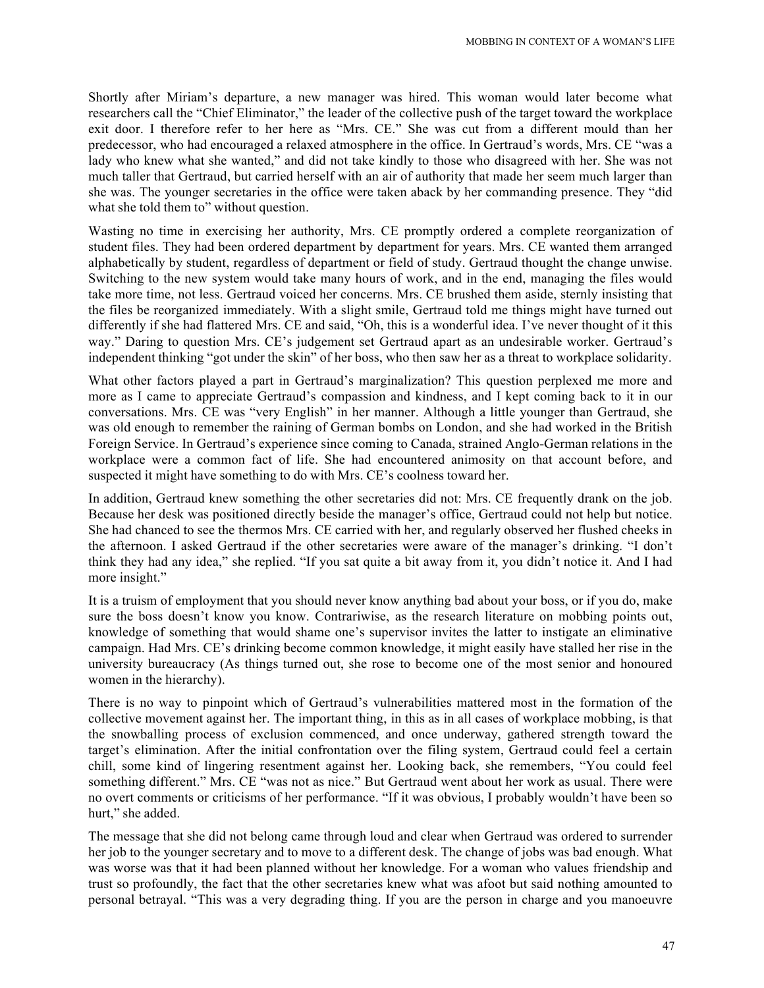Shortly after Miriam's departure, a new manager was hired. This woman would later become what researchers call the "Chief Eliminator," the leader of the collective push of the target toward the workplace exit door. I therefore refer to her here as "Mrs. CE." She was cut from a different mould than her predecessor, who had encouraged a relaxed atmosphere in the office. In Gertraud's words, Mrs. CE "was a lady who knew what she wanted," and did not take kindly to those who disagreed with her. She was not much taller that Gertraud, but carried herself with an air of authority that made her seem much larger than she was. The younger secretaries in the office were taken aback by her commanding presence. They "did what she told them to" without question.

Wasting no time in exercising her authority, Mrs. CE promptly ordered a complete reorganization of student files. They had been ordered department by department for years. Mrs. CE wanted them arranged alphabetically by student, regardless of department or field of study. Gertraud thought the change unwise. Switching to the new system would take many hours of work, and in the end, managing the files would take more time, not less. Gertraud voiced her concerns. Mrs. CE brushed them aside, sternly insisting that the files be reorganized immediately. With a slight smile, Gertraud told me things might have turned out differently if she had flattered Mrs. CE and said, "Oh, this is a wonderful idea. I've never thought of it this way." Daring to question Mrs. CE's judgement set Gertraud apart as an undesirable worker. Gertraud's independent thinking "got under the skin" of her boss, who then saw her as a threat to workplace solidarity.

What other factors played a part in Gertraud's marginalization? This question perplexed me more and more as I came to appreciate Gertraud's compassion and kindness, and I kept coming back to it in our conversations. Mrs. CE was "very English" in her manner. Although a little younger than Gertraud, she was old enough to remember the raining of German bombs on London, and she had worked in the British Foreign Service. In Gertraud's experience since coming to Canada, strained Anglo-German relations in the workplace were a common fact of life. She had encountered animosity on that account before, and suspected it might have something to do with Mrs. CE's coolness toward her.

In addition, Gertraud knew something the other secretaries did not: Mrs. CE frequently drank on the job. Because her desk was positioned directly beside the manager's office, Gertraud could not help but notice. She had chanced to see the thermos Mrs. CE carried with her, and regularly observed her flushed cheeks in the afternoon. I asked Gertraud if the other secretaries were aware of the manager's drinking. "I don't think they had any idea," she replied. "If you sat quite a bit away from it, you didn't notice it. And I had more insight."

It is a truism of employment that you should never know anything bad about your boss, or if you do, make sure the boss doesn't know you know. Contrariwise, as the research literature on mobbing points out, knowledge of something that would shame one's supervisor invites the latter to instigate an eliminative campaign. Had Mrs. CE's drinking become common knowledge, it might easily have stalled her rise in the university bureaucracy (As things turned out, she rose to become one of the most senior and honoured women in the hierarchy).

There is no way to pinpoint which of Gertraud's vulnerabilities mattered most in the formation of the collective movement against her. The important thing, in this as in all cases of workplace mobbing, is that the snowballing process of exclusion commenced, and once underway, gathered strength toward the target's elimination. After the initial confrontation over the filing system, Gertraud could feel a certain chill, some kind of lingering resentment against her. Looking back, she remembers, "You could feel something different." Mrs. CE "was not as nice." But Gertraud went about her work as usual. There were no overt comments or criticisms of her performance. "If it was obvious, I probably wouldn't have been so hurt," she added.

The message that she did not belong came through loud and clear when Gertraud was ordered to surrender her job to the younger secretary and to move to a different desk. The change of jobs was bad enough. What was worse was that it had been planned without her knowledge. For a woman who values friendship and trust so profoundly, the fact that the other secretaries knew what was afoot but said nothing amounted to personal betrayal. "This was a very degrading thing. If you are the person in charge and you manoeuvre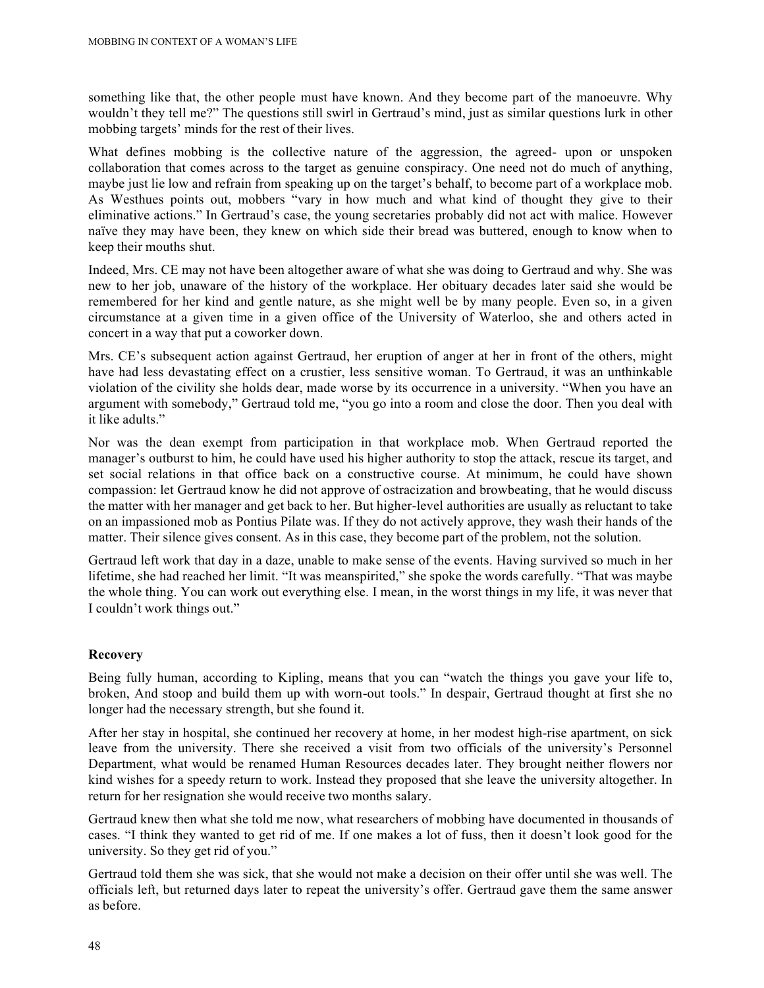something like that, the other people must have known. And they become part of the manoeuvre. Why wouldn't they tell me?" The questions still swirl in Gertraud's mind, just as similar questions lurk in other mobbing targets' minds for the rest of their lives.

What defines mobbing is the collective nature of the aggression, the agreed- upon or unspoken collaboration that comes across to the target as genuine conspiracy. One need not do much of anything, maybe just lie low and refrain from speaking up on the target's behalf, to become part of a workplace mob. As Westhues points out, mobbers "vary in how much and what kind of thought they give to their eliminative actions." In Gertraud's case, the young secretaries probably did not act with malice. However naïve they may have been, they knew on which side their bread was buttered, enough to know when to keep their mouths shut.

Indeed, Mrs. CE may not have been altogether aware of what she was doing to Gertraud and why. She was new to her job, unaware of the history of the workplace. Her obituary decades later said she would be remembered for her kind and gentle nature, as she might well be by many people. Even so, in a given circumstance at a given time in a given office of the University of Waterloo, she and others acted in concert in a way that put a coworker down.

Mrs. CE's subsequent action against Gertraud, her eruption of anger at her in front of the others, might have had less devastating effect on a crustier, less sensitive woman. To Gertraud, it was an unthinkable violation of the civility she holds dear, made worse by its occurrence in a university. "When you have an argument with somebody," Gertraud told me, "you go into a room and close the door. Then you deal with it like adults."

Nor was the dean exempt from participation in that workplace mob. When Gertraud reported the manager's outburst to him, he could have used his higher authority to stop the attack, rescue its target, and set social relations in that office back on a constructive course. At minimum, he could have shown compassion: let Gertraud know he did not approve of ostracization and browbeating, that he would discuss the matter with her manager and get back to her. But higher-level authorities are usually as reluctant to take on an impassioned mob as Pontius Pilate was. If they do not actively approve, they wash their hands of the matter. Their silence gives consent. As in this case, they become part of the problem, not the solution.

Gertraud left work that day in a daze, unable to make sense of the events. Having survived so much in her lifetime, she had reached her limit. "It was meanspirited," she spoke the words carefully. "That was maybe the whole thing. You can work out everything else. I mean, in the worst things in my life, it was never that I couldn't work things out."

## **Recovery**

Being fully human, according to Kipling, means that you can "watch the things you gave your life to, broken, And stoop and build them up with worn-out tools." In despair, Gertraud thought at first she no longer had the necessary strength, but she found it.

After her stay in hospital, she continued her recovery at home, in her modest high-rise apartment, on sick leave from the university. There she received a visit from two officials of the university's Personnel Department, what would be renamed Human Resources decades later. They brought neither flowers nor kind wishes for a speedy return to work. Instead they proposed that she leave the university altogether. In return for her resignation she would receive two months salary.

Gertraud knew then what she told me now, what researchers of mobbing have documented in thousands of cases. "I think they wanted to get rid of me. If one makes a lot of fuss, then it doesn't look good for the university. So they get rid of you."

Gertraud told them she was sick, that she would not make a decision on their offer until she was well. The officials left, but returned days later to repeat the university's offer. Gertraud gave them the same answer as before.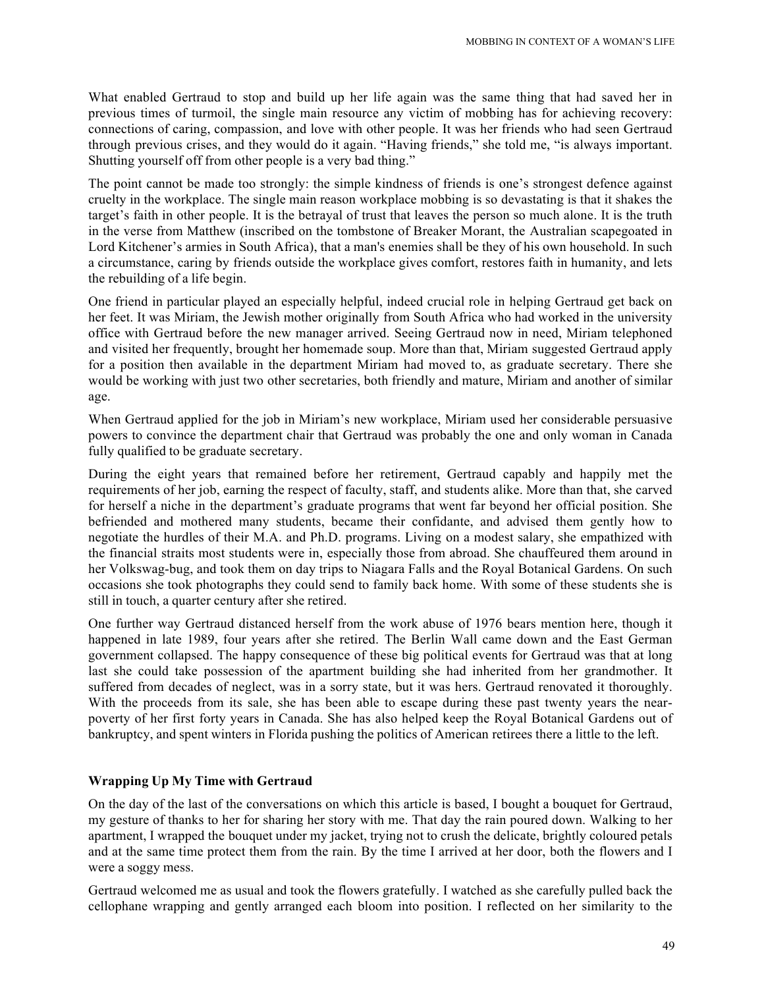What enabled Gertraud to stop and build up her life again was the same thing that had saved her in previous times of turmoil, the single main resource any victim of mobbing has for achieving recovery: connections of caring, compassion, and love with other people. It was her friends who had seen Gertraud through previous crises, and they would do it again. "Having friends," she told me, "is always important. Shutting yourself off from other people is a very bad thing."

The point cannot be made too strongly: the simple kindness of friends is one's strongest defence against cruelty in the workplace. The single main reason workplace mobbing is so devastating is that it shakes the target's faith in other people. It is the betrayal of trust that leaves the person so much alone. It is the truth in the verse from Matthew (inscribed on the tombstone of Breaker Morant, the Australian scapegoated in Lord Kitchener's armies in South Africa), that a man's enemies shall be they of his own household. In such a circumstance, caring by friends outside the workplace gives comfort, restores faith in humanity, and lets the rebuilding of a life begin.

One friend in particular played an especially helpful, indeed crucial role in helping Gertraud get back on her feet. It was Miriam, the Jewish mother originally from South Africa who had worked in the university office with Gertraud before the new manager arrived. Seeing Gertraud now in need, Miriam telephoned and visited her frequently, brought her homemade soup. More than that, Miriam suggested Gertraud apply for a position then available in the department Miriam had moved to, as graduate secretary. There she would be working with just two other secretaries, both friendly and mature, Miriam and another of similar age.

When Gertraud applied for the job in Miriam's new workplace, Miriam used her considerable persuasive powers to convince the department chair that Gertraud was probably the one and only woman in Canada fully qualified to be graduate secretary.

During the eight years that remained before her retirement, Gertraud capably and happily met the requirements of her job, earning the respect of faculty, staff, and students alike. More than that, she carved for herself a niche in the department's graduate programs that went far beyond her official position. She befriended and mothered many students, became their confidante, and advised them gently how to negotiate the hurdles of their M.A. and Ph.D. programs. Living on a modest salary, she empathized with the financial straits most students were in, especially those from abroad. She chauffeured them around in her Volkswag-bug, and took them on day trips to Niagara Falls and the Royal Botanical Gardens. On such occasions she took photographs they could send to family back home. With some of these students she is still in touch, a quarter century after she retired.

One further way Gertraud distanced herself from the work abuse of 1976 bears mention here, though it happened in late 1989, four years after she retired. The Berlin Wall came down and the East German government collapsed. The happy consequence of these big political events for Gertraud was that at long last she could take possession of the apartment building she had inherited from her grandmother. It suffered from decades of neglect, was in a sorry state, but it was hers. Gertraud renovated it thoroughly. With the proceeds from its sale, she has been able to escape during these past twenty years the nearpoverty of her first forty years in Canada. She has also helped keep the Royal Botanical Gardens out of bankruptcy, and spent winters in Florida pushing the politics of American retirees there a little to the left.

#### **Wrapping Up My Time with Gertraud**

On the day of the last of the conversations on which this article is based, I bought a bouquet for Gertraud, my gesture of thanks to her for sharing her story with me. That day the rain poured down. Walking to her apartment, I wrapped the bouquet under my jacket, trying not to crush the delicate, brightly coloured petals and at the same time protect them from the rain. By the time I arrived at her door, both the flowers and I were a soggy mess.

Gertraud welcomed me as usual and took the flowers gratefully. I watched as she carefully pulled back the cellophane wrapping and gently arranged each bloom into position. I reflected on her similarity to the